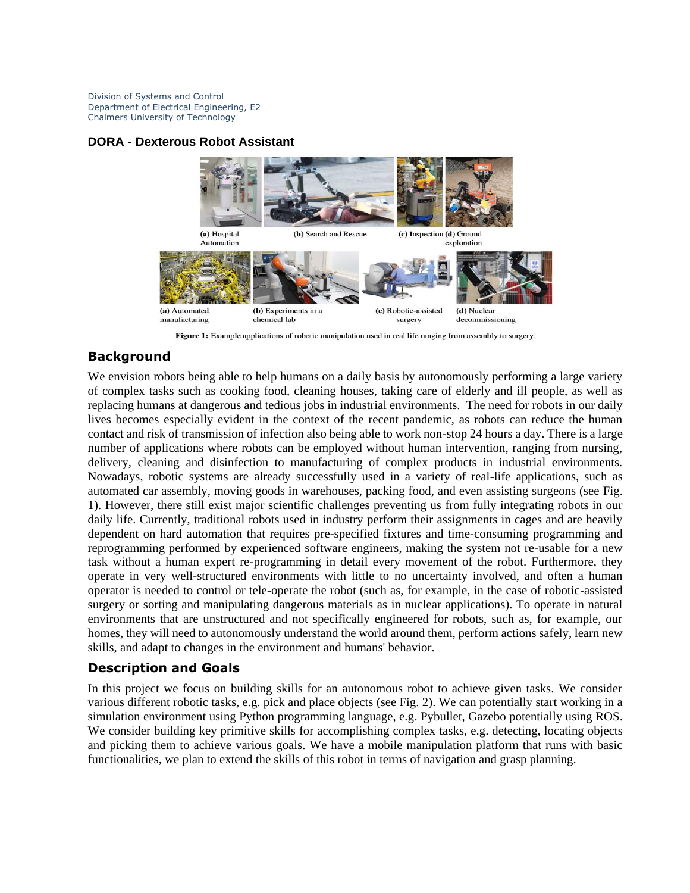Division of Systems and Control Department of Electrical Engineering, E2 Chalmers University of Technology

## **DORA - Dexterous Robot Assistant**



Figure 1: Example applications of robotic manipulation used in real life ranging from assembly to surgery.

## **Background**

We envision robots being able to help humans on a daily basis by autonomously performing a large variety of complex tasks such as cooking food, cleaning houses, taking care of elderly and ill people, as well as replacing humans at dangerous and tedious jobs in industrial environments. The need for robots in our daily lives becomes especially evident in the context of the recent pandemic, as robots can reduce the human contact and risk of transmission of infection also being able to work non-stop 24 hours a day. There is a large number of applications where robots can be employed without human intervention, ranging from nursing, delivery, cleaning and disinfection to manufacturing of complex products in industrial environments. Nowadays, robotic systems are already successfully used in a variety of real-life applications, such as automated car assembly, moving goods in warehouses, packing food, and even assisting surgeons (see Fig. 1). However, there still exist major scientific challenges preventing us from fully integrating robots in our daily life. Currently, traditional robots used in industry perform their assignments in cages and are heavily dependent on hard automation that requires pre-specified fixtures and time-consuming programming and reprogramming performed by experienced software engineers, making the system not re-usable for a new task without a human expert re-programming in detail every movement of the robot. Furthermore, they operate in very well-structured environments with little to no uncertainty involved, and often a human operator is needed to control or tele-operate the robot (such as, for example, in the case of robotic-assisted surgery or sorting and manipulating dangerous materials as in nuclear applications). To operate in natural environments that are unstructured and not specifically engineered for robots, such as, for example, our homes, they will need to autonomously understand the world around them, perform actions safely, learn new skills, and adapt to changes in the environment and humans' behavior.

## **Description and Goals**

In this project we focus on building skills for an autonomous robot to achieve given tasks. We consider various different robotic tasks, e.g. pick and place objects (see Fig. 2). We can potentially start working in a simulation environment using Python programming language, e.g. Pybullet, Gazebo potentially using ROS. We consider building key primitive skills for accomplishing complex tasks, e.g. detecting, locating objects and picking them to achieve various goals. We have a mobile manipulation platform that runs with basic functionalities, we plan to extend the skills of this robot in terms of navigation and grasp planning.